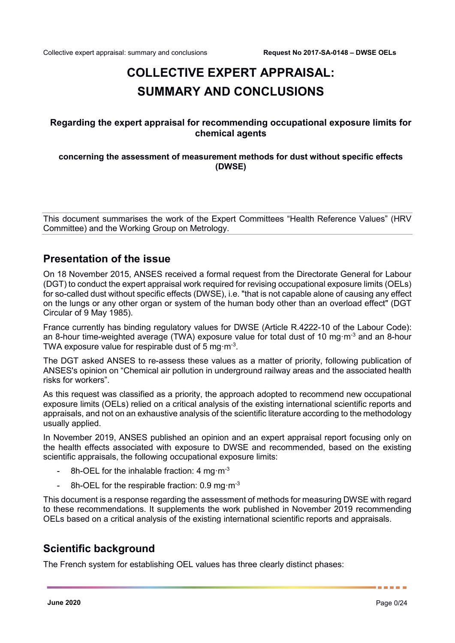# **COLLECTIVE EXPERT APPRAISAL: SUMMARY AND CONCLUSIONS**

### **Regarding the expert appraisal for recommending occupational exposure limits for chemical agents**

### **concerning the assessment of measurement methods for dust without specific effects (DWSE)**

This document summarises the work of the Expert Committees "Health Reference Values" (HRV Committee) and the Working Group on Metrology.

## **Presentation of the issue**

On 18 November 2015, ANSES received a formal request from the Directorate General for Labour (DGT) to conduct the expert appraisal work required for revising occupational exposure limits (OELs) for so-called dust without specific effects (DWSE), i.e. "that is not capable alone of causing any effect on the lungs or any other organ or system of the human body other than an overload effect" (DGT Circular of 9 May 1985).

France currently has binding regulatory values for DWSE (Article R.4222-10 of the Labour Code): an 8-hour time-weighted average (TWA) exposure value for total dust of 10 mg·m<sup>-3</sup> and an 8-hour TWA exposure value for respirable dust of 5 mg·m<sup>-3</sup>.

The DGT asked ANSES to re-assess these values as a matter of priority, following publication of ANSES's opinion on "Chemical air pollution in underground railway areas and the associated health risks for workers".

As this request was classified as a priority, the approach adopted to recommend new occupational exposure limits (OELs) relied on a critical analysis of the existing international scientific reports and appraisals, and not on an exhaustive analysis of the scientific literature according to the methodology usually applied.

In November 2019, ANSES published an opinion and an expert appraisal report focusing only on the health effects associated with exposure to DWSE and recommended, based on the existing scientific appraisals, the following occupational exposure limits:

- 8h-OEL for the inhalable fraction: 4 mg $\cdot$ m<sup>-3</sup>
- 8h-OEL for the respirable fraction:  $0.9 \text{ mg} \cdot \text{m}^{-3}$

This document is a response regarding the assessment of methods for measuring DWSE with regard to these recommendations. It supplements the work published in November 2019 recommending OELs based on a critical analysis of the existing international scientific reports and appraisals.

## **Scientific background**

The French system for establishing OEL values has three clearly distinct phases: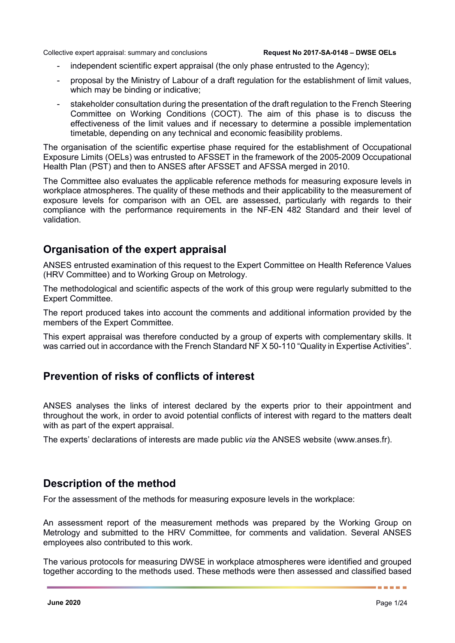- independent scientific expert appraisal (the only phase entrusted to the Agency);
- proposal by the Ministry of Labour of a draft regulation for the establishment of limit values, which may be binding or indicative:
- stakeholder consultation during the presentation of the draft regulation to the French Steering Committee on Working Conditions (COCT). The aim of this phase is to discuss the effectiveness of the limit values and if necessary to determine a possible implementation timetable, depending on any technical and economic feasibility problems.

The organisation of the scientific expertise phase required for the establishment of Occupational Exposure Limits (OELs) was entrusted to AFSSET in the framework of the 2005-2009 Occupational Health Plan (PST) and then to ANSES after AFSSET and AFSSA merged in 2010.

The Committee also evaluates the applicable reference methods for measuring exposure levels in workplace atmospheres. The quality of these methods and their applicability to the measurement of exposure levels for comparison with an OEL are assessed, particularly with regards to their compliance with the performance requirements in the NF-EN 482 Standard and their level of validation.

## **Organisation of the expert appraisal**

ANSES entrusted examination of this request to the Expert Committee on Health Reference Values (HRV Committee) and to Working Group on Metrology.

The methodological and scientific aspects of the work of this group were regularly submitted to the Expert Committee.

The report produced takes into account the comments and additional information provided by the members of the Expert Committee.

This expert appraisal was therefore conducted by a group of experts with complementary skills. It was carried out in accordance with the French Standard NF X 50-110 "Quality in Expertise Activities".

## **Prevention of risks of conflicts of interest**

ANSES analyses the links of interest declared by the experts prior to their appointment and throughout the work, in order to avoid potential conflicts of interest with regard to the matters dealt with as part of the expert appraisal.

The experts' declarations of interests are made public *via* the ANSES website (www.anses.fr).

## **Description of the method**

For the assessment of the methods for measuring exposure levels in the workplace:

An assessment report of the measurement methods was prepared by the Working Group on Metrology and submitted to the HRV Committee, for comments and validation. Several ANSES employees also contributed to this work.

The various protocols for measuring DWSE in workplace atmospheres were identified and grouped together according to the methods used. These methods were then assessed and classified based

. . . . .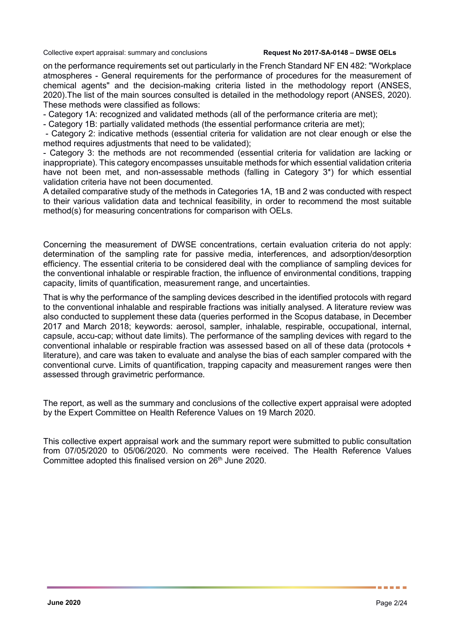on the performance requirements set out particularly in the French Standard NF EN 482: "Workplace atmospheres - General requirements for the performance of procedures for the measurement of chemical agents" and the decision-making criteria listed in the methodology report (ANSES, 2020).The list of the main sources consulted is detailed in the methodology report (ANSES, 2020). These methods were classified as follows:

- Category 1A: recognized and validated methods (all of the performance criteria are met);

- Category 1B: partially validated methods (the essential performance criteria are met);

- Category 2: indicative methods (essential criteria for validation are not clear enough or else the method requires adjustments that need to be validated);

- Category 3: the methods are not recommended (essential criteria for validation are lacking or inappropriate). This category encompasses unsuitable methods for which essential validation criteria have not been met, and non-assessable methods (falling in Category 3\*) for which essential validation criteria have not been documented.

A detailed comparative study of the methods in Categories 1A, 1B and 2 was conducted with respect to their various validation data and technical feasibility, in order to recommend the most suitable method(s) for measuring concentrations for comparison with OELs.

Concerning the measurement of DWSE concentrations, certain evaluation criteria do not apply: determination of the sampling rate for passive media, interferences, and adsorption/desorption efficiency. The essential criteria to be considered deal with the compliance of sampling devices for the conventional inhalable or respirable fraction, the influence of environmental conditions, trapping capacity, limits of quantification, measurement range, and uncertainties.

That is why the performance of the sampling devices described in the identified protocols with regard to the conventional inhalable and respirable fractions was initially analysed. A literature review was also conducted to supplement these data (queries performed in the Scopus database, in December 2017 and March 2018; keywords: aerosol, sampler, inhalable, respirable, occupational, internal, capsule, accu-cap; without date limits). The performance of the sampling devices with regard to the conventional inhalable or respirable fraction was assessed based on all of these data (protocols + literature), and care was taken to evaluate and analyse the bias of each sampler compared with the conventional curve. Limits of quantification, trapping capacity and measurement ranges were then assessed through gravimetric performance.

The report, as well as the summary and conclusions of the collective expert appraisal were adopted by the Expert Committee on Health Reference Values on 19 March 2020.

This collective expert appraisal work and the summary report were submitted to public consultation from 07/05/2020 to 05/06/2020. No comments were received. The Health Reference Values Committee adopted this finalised version on 26<sup>th</sup> June 2020.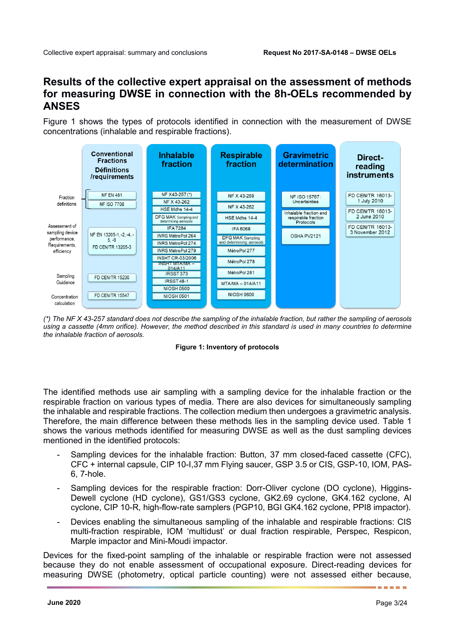## **Results of the collective expert appraisal on the assessment of methods for measuring DWSE in connection with the 8h-OELs recommended by ANSES**

[Figure 1](#page-3-0) shows the types of protocols identified in connection with the measurement of DWSE concentrations (inhalable and respirable fractions).



<span id="page-3-0"></span>*(\*) The NF X 43-257 standard does not describe the sampling of the inhalable fraction, but rather the sampling of aerosols using a cassette (4mm orifice). However, the method described in this standard is used in many countries to determine the inhalable fraction of aerosols.* 



The identified methods use air sampling with a sampling device for the inhalable fraction or the respirable fraction on various types of media. There are also devices for simultaneously sampling the inhalable and respirable fractions. The collection medium then undergoes a gravimetric analysis. Therefore, the main difference between these methods lies in the sampling device used. Table 1 shows the various methods identified for measuring DWSE as well as the dust sampling devices mentioned in the identified protocols:

- Sampling devices for the inhalable fraction: Button, 37 mm closed-faced cassette (CFC), CFC + internal capsule, CIP 10-I,37 mm Flying saucer, GSP 3.5 or CIS, GSP-10, IOM, PAS-6, 7-hole.
- Sampling devices for the respirable fraction: Dorr-Oliver cyclone (DO cyclone), Higgins-Dewell cyclone (HD cyclone), GS1/GS3 cyclone, GK2.69 cyclone, GK4.162 cyclone, Al cyclone, CIP 10-R, high-flow-rate samplers (PGP10, BGI GK4.162 cyclone, PPI8 impactor).
- Devices enabling the simultaneous sampling of the inhalable and respirable fractions: CIS multi-fraction respirable, IOM 'multidust' or dual fraction respirable, Perspec, Respicon, Marple impactor and Mini-Moudi impactor.

Devices for the fixed-point sampling of the inhalable or respirable fraction were not assessed because they do not enable assessment of occupational exposure. Direct-reading devices for measuring DWSE (photometry, optical particle counting) were not assessed either because,

. . . . .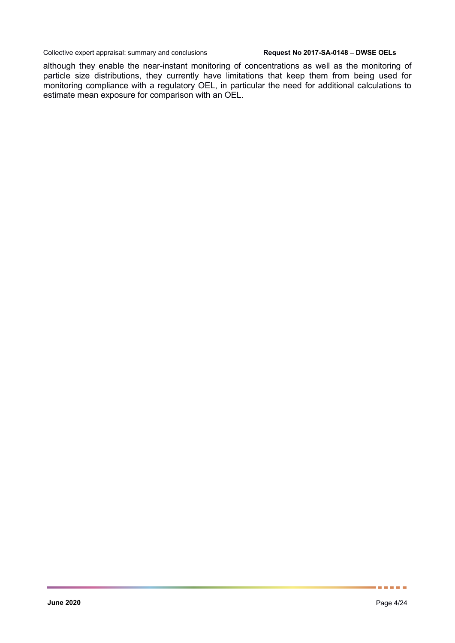although they enable the near-instant monitoring of concentrations as well as the monitoring of particle size distributions, they currently have limitations that keep them from being used for monitoring compliance with a regulatory OEL, in particular the need for additional calculations to estimate mean exposure for comparison with an OEL.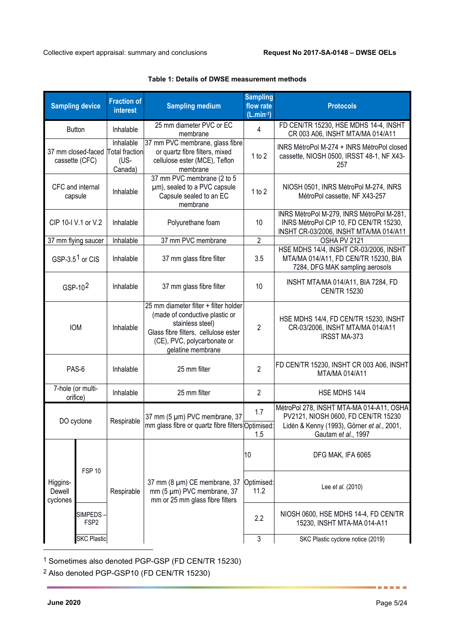|                                | <b>Sampling device</b>                                                                                                                        | <b>Fraction of</b><br><b>interest</b>                 | <b>Sampling medium</b>                                                                                                                                                                  | <b>Sampling</b><br>flow rate<br>$(L.min-1)$                                                   | <b>Protocols</b>                                                                                                                                     |                   |
|--------------------------------|-----------------------------------------------------------------------------------------------------------------------------------------------|-------------------------------------------------------|-----------------------------------------------------------------------------------------------------------------------------------------------------------------------------------------|-----------------------------------------------------------------------------------------------|------------------------------------------------------------------------------------------------------------------------------------------------------|-------------------|
|                                | <b>Button</b>                                                                                                                                 | Inhalable                                             | 25 mm diameter PVC or EC<br>membrane                                                                                                                                                    | $\overline{4}$                                                                                | FD CEN/TR 15230, HSE MDHS 14-4, INSHT<br>CR 003 A06, INSHT MTA/MA 014/A11                                                                            |                   |
|                                | 37 mm closed-faced<br>cassette (CFC)                                                                                                          | Inhalable<br><b>Total fraction</b><br>(US-<br>Canada) | 37 mm PVC membrane, glass fibre<br>or quartz fibre filters, mixed<br>cellulose ester (MCE), Teflon<br>membrane                                                                          | 1 to 2                                                                                        | INRS MétroPol M-274 + INRS MétroPol closed<br>cassette, NIOSH 0500, IRSST 48-1, NF X43-<br>257                                                       |                   |
|                                | 37 mm PVC membrane (2 to 5<br>CFC and internal<br>µm), sealed to a PVC capsule<br>Inhalable<br>Capsule sealed to an EC<br>capsule<br>membrane |                                                       | 1 to 2                                                                                                                                                                                  | NIOSH 0501, INRS MétroPol M-274, INRS<br>MétroPol cassette, NF X43-257                        |                                                                                                                                                      |                   |
|                                | CIP 10-I V.1 or V.2                                                                                                                           | Inhalable                                             | Polyurethane foam                                                                                                                                                                       | 10                                                                                            | INRS MétroPol M-279, INRS MétroPol M-281,<br>INRS MétroPol CIP 10, FD CEN/TR 15230,<br>INSHT CR-03/2006, INSHT MTA/MA 014/A11                        |                   |
| 37 mm flying saucer            |                                                                                                                                               | Inhalable                                             | 37 mm PVC membrane                                                                                                                                                                      | $\overline{2}$                                                                                | OSHA PV 2121                                                                                                                                         |                   |
|                                | GSP-3.5 <sup>1</sup> or CIS                                                                                                                   | Inhalable                                             | 37 mm glass fibre filter                                                                                                                                                                | 3.5                                                                                           | HSE MDHS 14/4, INSHT CR-03/2006, INSHT<br>MTA/MA 014/A11, FD CEN/TR 15230, BIA<br>7284, DFG MAK sampling aerosols                                    |                   |
|                                | GSP- $102$                                                                                                                                    | Inhalable                                             | 37 mm glass fibre filter                                                                                                                                                                | INSHT MTA/MA 014/A11, BIA 7284, FD<br>10<br><b>CEN/TR 15230</b>                               |                                                                                                                                                      |                   |
| <b>IOM</b>                     |                                                                                                                                               | Inhalable                                             | 25 mm diameter filter + filter holder<br>(made of conductive plastic or<br>stainless steel)<br>Glass fibre filters, cellulose ester<br>(CE), PVC, polycarbonate or<br>gelatine membrane | $\overline{2}$                                                                                | HSE MDHS 14/4, FD CEN/TR 15230, INSHT<br>CR-03/2006, INSHT MTA/MA 014/A11<br><b>IRSST MA-373</b>                                                     |                   |
| PAS-6                          |                                                                                                                                               | Inhalable                                             | 25 mm filter                                                                                                                                                                            | $\overline{2}$                                                                                | FD CEN/TR 15230, INSHT CR 003 A06, INSHT<br>MTA/MA 014/A11                                                                                           |                   |
| 7-hole (or multi-<br>orifice)  |                                                                                                                                               | Inhalable                                             | 25 mm filter                                                                                                                                                                            | $\overline{2}$                                                                                | HSE MDHS 14/4                                                                                                                                        |                   |
| DO cyclone                     |                                                                                                                                               | Respirable                                            | 37 mm (5 µm) PVC membrane, 37<br>mm glass fibre or quartz fibre filters Optimised:                                                                                                      | 1.7<br>1.5                                                                                    | MétroPol 278, INSHT MTA-MA 014-A11, OSHA<br>PV2121, NIOSH 0600, FD CEN/TR 15230<br>Lidén & Kenny (1993), Görner et al., 2001,<br>Gautam et al., 1997 |                   |
|                                |                                                                                                                                               |                                                       |                                                                                                                                                                                         | 10                                                                                            | DFG MAK, IFA 6065                                                                                                                                    |                   |
| Higgins-<br>Dewell<br>cyclones | <b>FSP 10</b>                                                                                                                                 |                                                       | Respirable                                                                                                                                                                              | 37 mm (8 µm) CE membrane, 37<br>mm (5 µm) PVC membrane, 37<br>mm or 25 mm glass fibre filters | Optimised:<br>11.2                                                                                                                                   | Lee et al. (2010) |
|                                | <b>SIMPEDS</b><br>FSP <sub>2</sub>                                                                                                            |                                                       |                                                                                                                                                                                         | 2.2                                                                                           | NIOSH 0600, HSE MDHS 14-4, FD CEN/TR<br>15230, INSHT MTA-MA 014-A11                                                                                  |                   |
|                                | <b>SKC Plastic</b>                                                                                                                            |                                                       |                                                                                                                                                                                         | 3                                                                                             | SKC Plastic cyclone notice (2019)                                                                                                                    |                   |

### **Table 1: Details of DWSE measurement methods**

<span id="page-5-0"></span><sup>1</sup> Sometimes also denoted PGP-GSP (FD CEN/TR 15230)

<span id="page-5-1"></span><sup>2</sup> Also denoted PGP-GSP10 (FD CEN/TR 15230)

-

......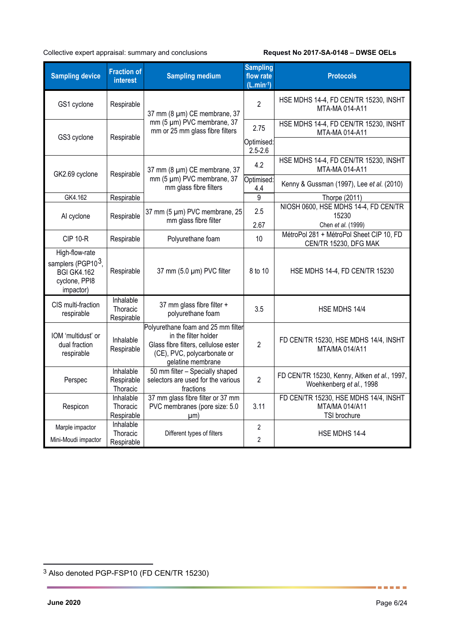| <b>Sampling device</b>                                                                                      | <b>Fraction of</b><br><b>interest</b>   | <b>Sampling medium</b>                                                                                                         | <b>Sampling</b><br>flow rate<br>$(L.min-1)$                     | <b>Protocols</b>                                                         |
|-------------------------------------------------------------------------------------------------------------|-----------------------------------------|--------------------------------------------------------------------------------------------------------------------------------|-----------------------------------------------------------------|--------------------------------------------------------------------------|
| GS1 cyclone                                                                                                 | Respirable                              | 37 mm (8 µm) CE membrane, 37                                                                                                   | 2                                                               | HSE MDHS 14-4, FD CEN/TR 15230, INSHT<br>MTA-MA 014-A11                  |
| GS3 cyclone                                                                                                 | Respirable                              | mm (5 µm) PVC membrane, 37<br>mm or 25 mm glass fibre filters                                                                  | HSE MDHS 14-4, FD CEN/TR 15230, INSHT<br>2.75<br>MTA-MA 014-A11 |                                                                          |
|                                                                                                             |                                         |                                                                                                                                | Optimised:<br>$2.5 - 2.6$                                       |                                                                          |
| GK2.69 cyclone                                                                                              | Respirable                              | 37 mm (8 µm) CE membrane, 37                                                                                                   | 4.2                                                             | HSE MDHS 14-4, FD CEN/TR 15230, INSHT<br>MTA-MA 014-A11                  |
|                                                                                                             |                                         | mm (5 µm) PVC membrane, 37<br>mm glass fibre filters                                                                           | Optimised:<br>4.4                                               | Kenny & Gussman (1997), Lee et al. (2010)                                |
| GK4.162                                                                                                     | Respirable                              |                                                                                                                                | 9                                                               | Thorpe (2011)                                                            |
| Al cyclone                                                                                                  | Respirable                              | 37 mm (5 µm) PVC membrane, 25                                                                                                  | 2.5                                                             | NIOSH 0600, HSE MDHS 14-4, FD CEN/TR<br>15230                            |
|                                                                                                             |                                         | mm glass fibre filter                                                                                                          | 2.67                                                            | Chen et al. (1999)                                                       |
| <b>CIP 10-R</b>                                                                                             | Respirable                              | Polyurethane foam                                                                                                              | 10                                                              | MétroPol 281 + MétroPol Sheet CIP 10, FD<br>CEN/TR 15230, DFG MAK        |
| High-flow-rate<br>samplers (PGP10 <sup>3</sup> ,<br><b>BGI GK4.162</b><br>cyclone, PPI8<br>impactor)        | 37 mm (5.0 µm) PVC filter<br>Respirable |                                                                                                                                | 8 to 10                                                         | HSE MDHS 14-4, FD CEN/TR 15230                                           |
| CIS multi-fraction<br>respirable                                                                            | Inhalable<br>Thoracic<br>Respirable     | 37 mm glass fibre filter +<br>polyurethane foam                                                                                | 3.5                                                             | HSE MDHS 14/4                                                            |
| in the filter holder<br>IOM 'multidust' or<br>Inhalable<br>dual fraction<br>Respirable<br>respirable        |                                         | Polyurethane foam and 25 mm filter<br>Glass fibre filters, cellulose ester<br>(CE), PVC, polycarbonate or<br>gelatine membrane | $\overline{2}$                                                  | FD CEN/TR 15230, HSE MDHS 14/4, INSHT<br>MTA/MA 014/A11                  |
| Perspec                                                                                                     | Inhalable<br>Respirable<br>Thoracic     | 50 mm filter - Specially shaped<br>selectors are used for the various<br>fractions                                             | $\overline{2}$                                                  | FD CEN/TR 15230, Kenny, Aitken et al., 1997,<br>Woehkenberg et al., 1998 |
| Respicon                                                                                                    | Inhalable<br>Thoracic<br>Respirable     | 37 mm glass fibre filter or 37 mm<br>PVC membranes (pore size: 5.0<br>µm)                                                      | 3.11                                                            | FD CEN/TR 15230, HSE MDHS 14/4, INSHT<br>MTA/MA 014/A11<br>TSI brochure  |
| Inhalable<br>Marple impactor<br>Thoracic<br>Different types of filters<br>Mini-Moudi impactor<br>Respirable |                                         | 2<br>2                                                                                                                         | HSE MDHS 14-4                                                   |                                                                          |

......

<span id="page-6-0"></span> <sup>3</sup> Also denoted PGP-FSP10 (FD CEN/TR 15230)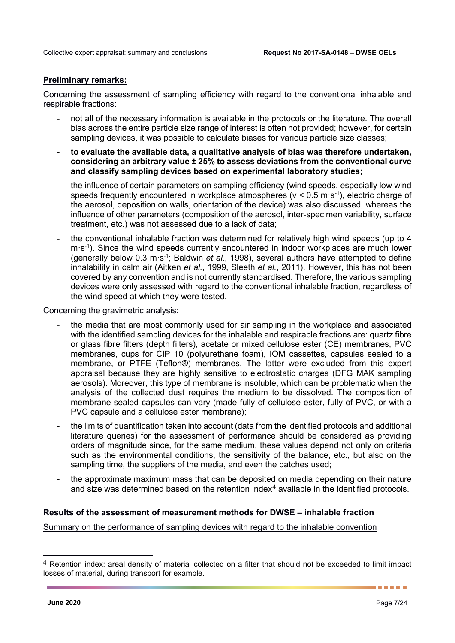### **Preliminary remarks:**

Concerning the assessment of sampling efficiency with regard to the conventional inhalable and respirable fractions:

- not all of the necessary information is available in the protocols or the literature. The overall bias across the entire particle size range of interest is often not provided; however, for certain sampling devices, it was possible to calculate biases for various particle size classes;
- **to evaluate the available data, a qualitative analysis of bias was therefore undertaken, considering an arbitrary value ± 25% to assess deviations from the conventional curve and classify sampling devices based on experimental laboratory studies;**
- the influence of certain parameters on sampling efficiency (wind speeds, especially low wind speeds frequently encountered in workplace atmospheres ( $v < 0.5$  m·s<sup>-1</sup>), electric charge of the aerosol, deposition on walls, orientation of the device) was also discussed, whereas the influence of other parameters (composition of the aerosol, inter-specimen variability, surface treatment, etc.) was not assessed due to a lack of data;
- the conventional inhalable fraction was determined for relatively high wind speeds (up to 4 m·s-1 ). Since the wind speeds currently encountered in indoor workplaces are much lower (generally below 0.3 m·s-1 ; Baldwin *et al.*, 1998), several authors have attempted to define inhalability in calm air (Aitken *et al.*, 1999, Sleeth *et al.*, 2011). However, this has not been covered by any convention and is not currently standardised. Therefore, the various sampling devices were only assessed with regard to the conventional inhalable fraction, regardless of the wind speed at which they were tested.

Concerning the gravimetric analysis:

- the media that are most commonly used for air sampling in the workplace and associated with the identified sampling devices for the inhalable and respirable fractions are: quartz fibre or glass fibre filters (depth filters), acetate or mixed cellulose ester (CE) membranes, PVC membranes, cups for CIP 10 (polyurethane foam), IOM cassettes, capsules sealed to a membrane, or PTFE (Teflon®) membranes. The latter were excluded from this expert appraisal because they are highly sensitive to electrostatic charges (DFG MAK sampling aerosols). Moreover, this type of membrane is insoluble, which can be problematic when the analysis of the collected dust requires the medium to be dissolved. The composition of membrane-sealed capsules can vary (made fully of cellulose ester, fully of PVC, or with a PVC capsule and a cellulose ester membrane);
- the limits of quantification taken into account (data from the identified protocols and additional literature queries) for the assessment of performance should be considered as providing orders of magnitude since, for the same medium, these values depend not only on criteria such as the environmental conditions, the sensitivity of the balance, etc., but also on the sampling time, the suppliers of the media, and even the batches used;
- the approximate maximum mass that can be deposited on media depending on their nature and size was determined based on the retention index<sup>[4](#page-7-0)</sup> available in the identified protocols.

### **Results of the assessment of measurement methods for DWSE – inhalable fraction**

Summary on the performance of sampling devices with regard to the inhalable convention

<span id="page-7-0"></span> <sup>4</sup> Retention index: areal density of material collected on a filter that should not be exceeded to limit impact losses of material, during transport for example.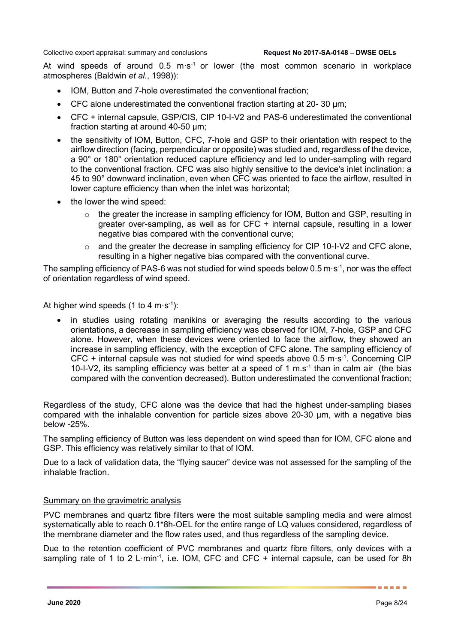At wind speeds of around  $0.5 \text{ m} \cdot \text{s}^{-1}$  or lower (the most common scenario in workplace atmospheres (Baldwin *et al.*, 1998)):

- IOM, Button and 7-hole overestimated the conventional fraction;
- CFC alone underestimated the conventional fraction starting at 20-30 µm;
- CFC + internal capsule, GSP/CIS, CIP 10-I-V2 and PAS-6 underestimated the conventional fraction starting at around 40-50 µm;
- the sensitivity of IOM, Button, CFC, 7-hole and GSP to their orientation with respect to the airflow direction (facing, perpendicular or opposite) was studied and, regardless of the device, a 90° or 180° orientation reduced capture efficiency and led to under-sampling with regard to the conventional fraction. CFC was also highly sensitive to the device's inlet inclination: a 45 to 90° downward inclination, even when CFC was oriented to face the airflow, resulted in lower capture efficiency than when the inlet was horizontal;
- the lower the wind speed:
	- $\circ$  the greater the increase in sampling efficiency for IOM. Button and GSP, resulting in greater over-sampling, as well as for CFC + internal capsule, resulting in a lower negative bias compared with the conventional curve;
	- o and the greater the decrease in sampling efficiency for CIP 10-I-V2 and CFC alone, resulting in a higher negative bias compared with the conventional curve.

The sampling efficiency of PAS-6 was not studied for wind speeds below 0.5 m·s<sup>-1</sup>, nor was the effect of orientation regardless of wind speed.

At higher wind speeds (1 to 4 m·s<sup>-1</sup>):

in studies using rotating manikins or averaging the results according to the various orientations, a decrease in sampling efficiency was observed for IOM, 7-hole, GSP and CFC alone. However, when these devices were oriented to face the airflow, they showed an increase in sampling efficiency, with the exception of CFC alone. The sampling efficiency of CFC  $+$  internal capsule was not studied for wind speeds above 0.5 m $\cdot$ s<sup>-1</sup>. Concerning CIP 10-I-V2, its sampling efficiency was better at a speed of 1 m.s-1 than in calm air (the bias compared with the convention decreased). Button underestimated the conventional fraction;

Regardless of the study, CFC alone was the device that had the highest under-sampling biases compared with the inhalable convention for particle sizes above 20-30 µm, with a negative bias below -25%.

The sampling efficiency of Button was less dependent on wind speed than for IOM, CFC alone and GSP. This efficiency was relatively similar to that of IOM.

Due to a lack of validation data, the "flying saucer" device was not assessed for the sampling of the inhalable fraction.

### Summary on the gravimetric analysis

PVC membranes and quartz fibre filters were the most suitable sampling media and were almost systematically able to reach 0.1\*8h-OEL for the entire range of LQ values considered, regardless of the membrane diameter and the flow rates used, and thus regardless of the sampling device.

Due to the retention coefficient of PVC membranes and quartz fibre filters, only devices with a sampling rate of 1 to 2 L·min<sup>-1</sup>, i.e. IOM, CFC and CFC + internal capsule, can be used for 8h

a sa san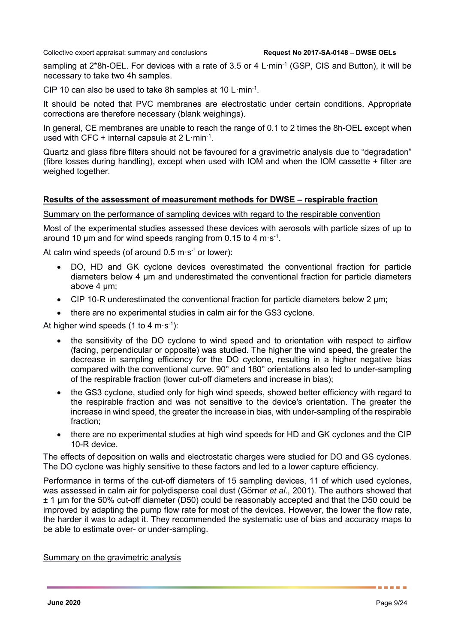sampling at 2\*8h-OEL. For devices with a rate of 3.5 or 4 L $\cdot$ min<sup>-1</sup> (GSP, CIS and Button), it will be necessary to take two 4h samples.

CIP 10 can also be used to take 8h samples at 10 L $\cdot$ min $^{-1}$ .

It should be noted that PVC membranes are electrostatic under certain conditions. Appropriate corrections are therefore necessary (blank weighings).

In general, CE membranes are unable to reach the range of 0.1 to 2 times the 8h-OEL except when used with CFC + internal capsule at  $2$  L·min<sup>-1</sup>.

Quartz and glass fibre filters should not be favoured for a gravimetric analysis due to "degradation" (fibre losses during handling), except when used with IOM and when the IOM cassette + filter are weighed together.

### **Results of the assessment of measurement methods for DWSE – respirable fraction**

Summary on the performance of sampling devices with regard to the respirable convention

Most of the experimental studies assessed these devices with aerosols with particle sizes of up to around 10  $\mu$ m and for wind speeds ranging from 0.15 to 4 m·s<sup>-1</sup>.

At calm wind speeds (of around  $0.5 \text{ m} \cdot \text{s}^{-1}$  or lower):

- DO, HD and GK cyclone devices overestimated the conventional fraction for particle diameters below 4 µm and underestimated the conventional fraction for particle diameters above 4 um:
- CIP 10-R underestimated the conventional fraction for particle diameters below 2  $\mu$ m;
- there are no experimental studies in calm air for the GS3 cyclone.

At higher wind speeds (1 to 4 m·s<sup>-1</sup>):

- the sensitivity of the DO cyclone to wind speed and to orientation with respect to airflow (facing, perpendicular or opposite) was studied. The higher the wind speed, the greater the decrease in sampling efficiency for the DO cyclone, resulting in a higher negative bias compared with the conventional curve. 90° and 180° orientations also led to under-sampling of the respirable fraction (lower cut-off diameters and increase in bias);
- the GS3 cyclone, studied only for high wind speeds, showed better efficiency with regard to the respirable fraction and was not sensitive to the device's orientation. The greater the increase in wind speed, the greater the increase in bias, with under-sampling of the respirable fraction;
- there are no experimental studies at high wind speeds for HD and GK cyclones and the CIP 10-R device.

The effects of deposition on walls and electrostatic charges were studied for DO and GS cyclones. The DO cyclone was highly sensitive to these factors and led to a lower capture efficiency.

Performance in terms of the cut-off diameters of 15 sampling devices, 11 of which used cyclones, was assessed in calm air for polydisperse coal dust (Görner *et al*., 2001). The authors showed that ± 1 µm for the 50% cut-off diameter (D50) could be reasonably accepted and that the D50 could be improved by adapting the pump flow rate for most of the devices. However, the lower the flow rate, the harder it was to adapt it. They recommended the systematic use of bias and accuracy maps to be able to estimate over- or under-sampling.

### Summary on the gravimetric analysis

. . . . .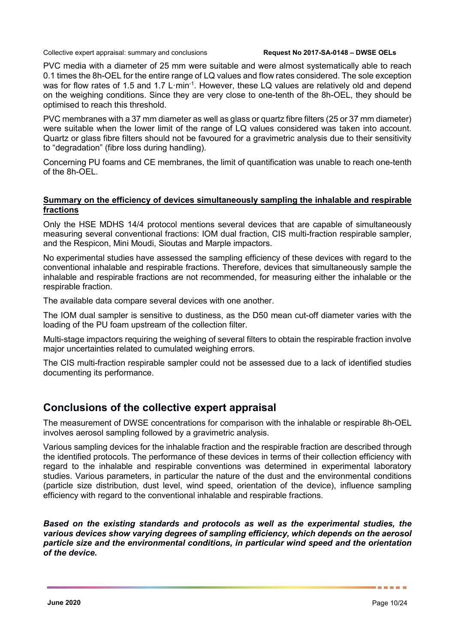PVC media with a diameter of 25 mm were suitable and were almost systematically able to reach 0.1 times the 8h-OEL for the entire range of LQ values and flow rates considered. The sole exception was for flow rates of 1.5 and 1.7 L·min<sup>-1</sup>. However, these LQ values are relatively old and depend on the weighing conditions. Since they are very close to one-tenth of the 8h-OEL, they should be optimised to reach this threshold.

PVC membranes with a 37 mm diameter as well as glass or quartz fibre filters (25 or 37 mm diameter) were suitable when the lower limit of the range of LQ values considered was taken into account. Quartz or glass fibre filters should not be favoured for a gravimetric analysis due to their sensitivity to "degradation" (fibre loss during handling).

Concerning PU foams and CE membranes, the limit of quantification was unable to reach one-tenth of the 8h-OEL.

### **Summary on the efficiency of devices simultaneously sampling the inhalable and respirable fractions**

Only the HSE MDHS 14/4 protocol mentions several devices that are capable of simultaneously measuring several conventional fractions: IOM dual fraction, CIS multi-fraction respirable sampler, and the Respicon, Mini Moudi, Sioutas and Marple impactors.

No experimental studies have assessed the sampling efficiency of these devices with regard to the conventional inhalable and respirable fractions. Therefore, devices that simultaneously sample the inhalable and respirable fractions are not recommended, for measuring either the inhalable or the respirable fraction.

The available data compare several devices with one another.

The IOM dual sampler is sensitive to dustiness, as the D50 mean cut-off diameter varies with the loading of the PU foam upstream of the collection filter.

Multi-stage impactors requiring the weighing of several filters to obtain the respirable fraction involve major uncertainties related to cumulated weighing errors.

The CIS multi-fraction respirable sampler could not be assessed due to a lack of identified studies documenting its performance.

## **Conclusions of the collective expert appraisal**

The measurement of DWSE concentrations for comparison with the inhalable or respirable 8h-OEL involves aerosol sampling followed by a gravimetric analysis.

Various sampling devices for the inhalable fraction and the respirable fraction are described through the identified protocols. The performance of these devices in terms of their collection efficiency with regard to the inhalable and respirable conventions was determined in experimental laboratory studies. Various parameters, in particular the nature of the dust and the environmental conditions (particle size distribution, dust level, wind speed, orientation of the device), influence sampling efficiency with regard to the conventional inhalable and respirable fractions.

*Based on the existing standards and protocols as well as the experimental studies, the various devices show varying degrees of sampling efficiency, which depends on the aerosol particle size and the environmental conditions, in particular wind speed and the orientation of the device.*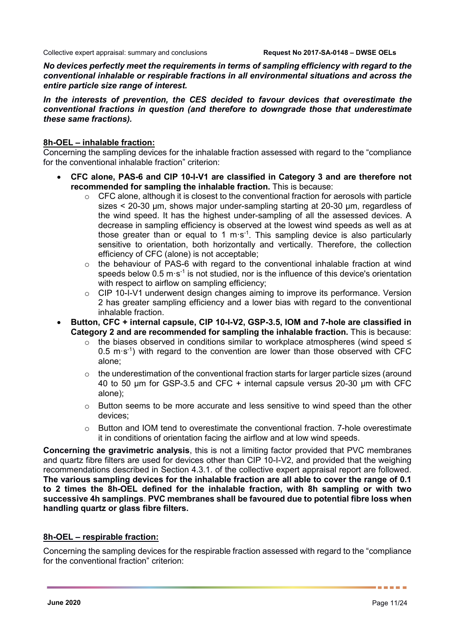*No devices perfectly meet the requirements in terms of sampling efficiency with regard to the conventional inhalable or respirable fractions in all environmental situations and across the entire particle size range of interest.*

### *In the interests of prevention, the CES decided to favour devices that overestimate the conventional fractions in question (and therefore to downgrade those that underestimate these same fractions).*

### **8h-OEL – inhalable fraction:**

Concerning the sampling devices for the inhalable fraction assessed with regard to the "compliance for the conventional inhalable fraction" criterion:

- **CFC alone, PAS-6 and CIP 10-I-V1 are classified in Category 3 and are therefore not recommended for sampling the inhalable fraction.** This is because:
	- o CFC alone, although it is closest to the conventional fraction for aerosols with particle sizes < 20-30 µm, shows major under-sampling starting at 20-30 µm, regardless of the wind speed. It has the highest under-sampling of all the assessed devices. A decrease in sampling efficiency is observed at the lowest wind speeds as well as at those greater than or equal to 1 m·s<sup>-1</sup>. This sampling device is also particularly sensitive to orientation, both horizontally and vertically. Therefore, the collection efficiency of CFC (alone) is not acceptable;
	- $\circ$  the behaviour of PAS-6 with regard to the conventional inhalable fraction at wind speeds below  $0.5 \text{ m} \cdot \text{s}^{-1}$  is not studied, nor is the influence of this device's orientation with respect to airflow on sampling efficiency;
	- o CIP 10-I-V1 underwent design changes aiming to improve its performance. Version 2 has greater sampling efficiency and a lower bias with regard to the conventional inhalable fraction.
- **Button, CFC + internal capsule, CIP 10-I-V2, GSP-3.5, IOM and 7-hole are classified in Category 2 and are recommended for sampling the inhalable fraction.** This is because:
	- o the biases observed in conditions similar to workplace atmospheres (wind speed ≤  $0.5$  m $\cdot$ s<sup>-1</sup>) with regard to the convention are lower than those observed with CFC alone;
	- $\circ$  the underestimation of the conventional fraction starts for larger particle sizes (around 40 to 50 µm for GSP-3.5 and CFC + internal capsule versus 20-30 µm with CFC alone);
	- $\circ$  Button seems to be more accurate and less sensitive to wind speed than the other devices;
	- $\circ$  Button and IOM tend to overestimate the conventional fraction. 7-hole overestimate it in conditions of orientation facing the airflow and at low wind speeds.

**Concerning the gravimetric analysis**, this is not a limiting factor provided that PVC membranes and quartz fibre filters are used for devices other than CIP 10-I-V2, and provided that the weighing recommendations described in Section 4.3.1. of the collective expert appraisal report are followed. **The various sampling devices for the inhalable fraction are all able to cover the range of 0.1 to 2 times the 8h-OEL defined for the inhalable fraction, with 8h sampling or with two successive 4h samplings**. **PVC membranes shall be favoured due to potential fibre loss when handling quartz or glass fibre filters.**

### **8h-OEL – respirable fraction:**

Concerning the sampling devices for the respirable fraction assessed with regard to the "compliance for the conventional fraction" criterion:

. . . . .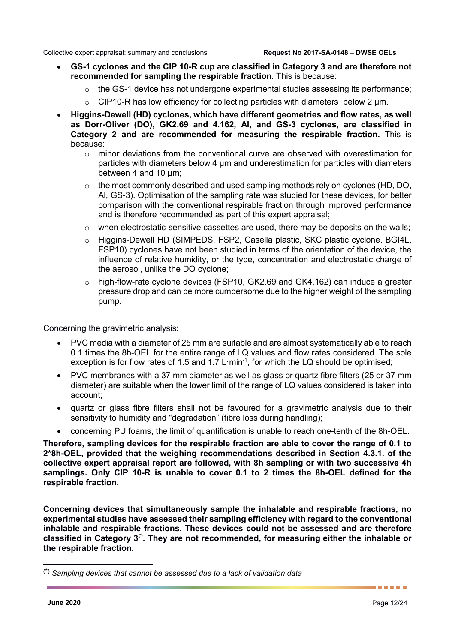- **GS-1 cyclones and the CIP 10-R cup are classified in Category 3 and are therefore not recommended for sampling the respirable fraction**. This is because:
	- $\circ$  the GS-1 device has not undergone experimental studies assessing its performance;
	- $\circ$  CIP10-R has low efficiency for collecting particles with diameters below 2  $\mu$ m.
- **Higgins-Dewell (HD) cyclones, which have different geometries and flow rates, as well as Dorr-Oliver (DO), GK2.69 and 4.162, Al, and GS-3 cyclones, are classified in Category 2 and are recommended for measuring the respirable fraction.** This is because:
	- $\circ$  minor deviations from the conventional curve are observed with overestimation for particles with diameters below 4 µm and underestimation for particles with diameters between 4 and 10 µm;
	- o the most commonly described and used sampling methods rely on cyclones (HD, DO, Al, GS-3). Optimisation of the sampling rate was studied for these devices, for better comparison with the conventional respirable fraction through improved performance and is therefore recommended as part of this expert appraisal;
	- $\circ$  when electrostatic-sensitive cassettes are used, there may be deposits on the walls;
	- o Higgins-Dewell HD (SIMPEDS, FSP2, Casella plastic, SKC plastic cyclone, BGI4L, FSP10) cyclones have not been studied in terms of the orientation of the device, the influence of relative humidity, or the type, concentration and electrostatic charge of the aerosol, unlike the DO cyclone;
	- $\circ$  high-flow-rate cyclone devices (FSP10, GK2.69 and GK4.162) can induce a greater pressure drop and can be more cumbersome due to the higher weight of the sampling pump.

Concerning the gravimetric analysis:

- PVC media with a diameter of 25 mm are suitable and are almost systematically able to reach 0.1 times the 8h-OEL for the entire range of LQ values and flow rates considered. The sole exception is for flow rates of 1.5 and 1.7 L $\cdot$ min<sup>-1</sup>, for which the LQ should be optimised;
- PVC membranes with a 37 mm diameter as well as glass or quartz fibre filters (25 or 37 mm diameter) are suitable when the lower limit of the range of LQ values considered is taken into account;
- quartz or glass fibre filters shall not be favoured for a gravimetric analysis due to their sensitivity to humidity and "degradation" (fibre loss during handling);
- concerning PU foams, the limit of quantification is unable to reach one-tenth of the 8h-OEL.

**Therefore, sampling devices for the respirable fraction are able to cover the range of 0.1 to 2\*8h-OEL, provided that the weighing recommendations described in Section 4.3.1. of the collective expert appraisal report are followed, with 8h sampling or with two successive 4h samplings. Only CIP 10-R is unable to cover 0.1 to 2 times the 8h-OEL defined for the respirable fraction.**

**Concerning devices that simultaneously sample the inhalable and respirable fractions, no experimental studies have assessed their sampling efficiency with regard to the conventional inhalable and respirable fractions. These devices could not be assessed and are therefore classified in Category 3[\(\\*\).](#page-12-0) They are not recommended, for measuring either the inhalable or the respirable fraction.**

<span id="page-12-0"></span> <sup>(\*)</sup> *Sampling devices that cannot be assessed due to a lack of validation data*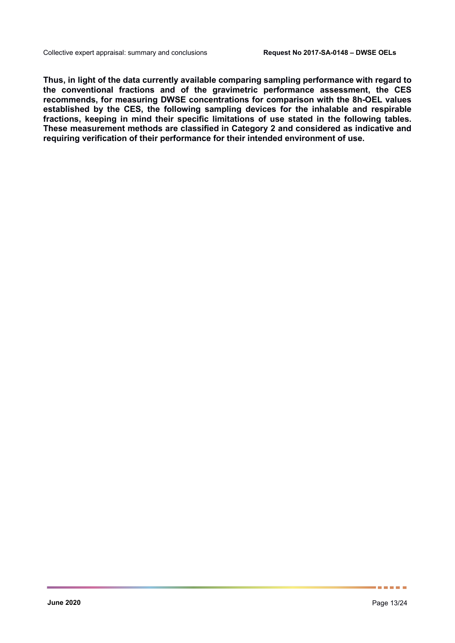**Thus, in light of the data currently available comparing sampling performance with regard to the conventional fractions and of the gravimetric performance assessment, the CES recommends, for measuring DWSE concentrations for comparison with the 8h-OEL values established by the CES, the following sampling devices for the inhalable and respirable fractions, keeping in mind their specific limitations of use stated in the following tables. These measurement methods are classified in Category 2 and considered as indicative and requiring verification of their performance for their intended environment of use.**

......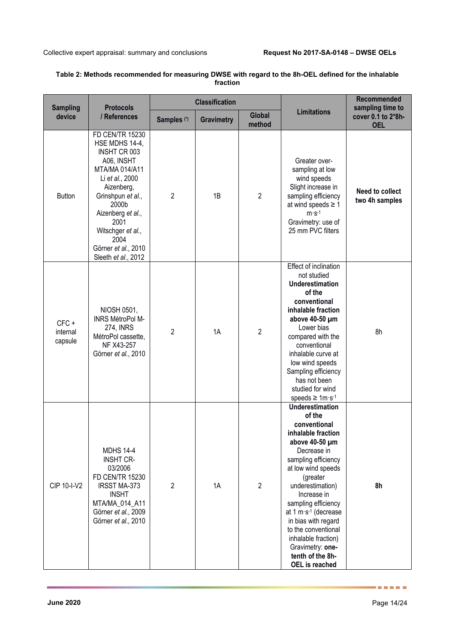| <b>Sampling</b>                | <b>Protocols</b>                                                                                                                                                                                                                                                |                        | <b>Classification</b> |                         |                                                                                                                                                                                                                                                                                                                                                                                               | <b>Recommended</b><br>sampling time to   |  |
|--------------------------------|-----------------------------------------------------------------------------------------------------------------------------------------------------------------------------------------------------------------------------------------------------------------|------------------------|-----------------------|-------------------------|-----------------------------------------------------------------------------------------------------------------------------------------------------------------------------------------------------------------------------------------------------------------------------------------------------------------------------------------------------------------------------------------------|------------------------------------------|--|
| device                         | / References                                                                                                                                                                                                                                                    | Samples <sup>(*)</sup> | <b>Gravimetry</b>     | <b>Global</b><br>method | <b>Limitations</b>                                                                                                                                                                                                                                                                                                                                                                            | cover 0.1 to 2*8h-<br><b>OEL</b>         |  |
| <b>Button</b>                  | <b>FD CEN/TR 15230</b><br>HSE MDHS 14-4,<br>INSHT CR 003<br>A06, INSHT<br>MTA/MA 014/A11<br>Li et al., 2000<br>Aizenberg,<br>Grinshpun et al.,<br>2000b<br>Aizenberg et al.,<br>2001<br>Witschger et al.,<br>2004<br>Görner et al., 2010<br>Sleeth et al., 2012 | $\overline{2}$         | 1B                    | $\overline{2}$          | Greater over-<br>sampling at low<br>wind speeds<br>Slight increase in<br>sampling efficiency<br>at wind speeds $\geq 1$<br>$m·s-1$<br>Gravimetry: use of<br>25 mm PVC filters                                                                                                                                                                                                                 | <b>Need to collect</b><br>two 4h samples |  |
| $CFC +$<br>internal<br>capsule | NIOSH 0501,<br>INRS MétroPol M-<br><b>274, INRS</b><br>MétroPol cassette,<br>NF X43-257<br>Görner et al., 2010                                                                                                                                                  | $\overline{2}$         | 1A                    | $\overline{2}$          | Effect of inclination<br>not studied<br><b>Underestimation</b><br>of the<br>conventional<br>inhalable fraction<br>above 40-50 µm<br>Lower bias<br>compared with the<br>conventional<br>inhalable curve at<br>low wind speeds<br>Sampling efficiency<br>has not been<br>studied for wind<br>speeds $\geq 1 \text{m·s-1}$                                                                       | 8h                                       |  |
| <b>CIP 10-I-V2</b>             | <b>MDHS 14-4</b><br><b>INSHT CR-</b><br>03/2006<br><b>FD CEN/TR 15230</b><br><b>IRSST MA-373</b><br><b>INSHT</b><br>MTA/MA_014_A11<br>Görner et al., 2009<br>Görner et al., 2010                                                                                | $\overline{2}$         | 1A                    | $\overline{2}$          | <b>Underestimation</b><br>of the<br>conventional<br>inhalable fraction<br>above 40-50 µm<br>Decrease in<br>sampling efficiency<br>at low wind speeds<br>(greater<br>underestimation)<br>Increase in<br>sampling efficiency<br>at 1 m·s <sup>-1</sup> (decrease<br>in bias with regard<br>to the conventional<br>inhalable fraction)<br>Gravimetry: one-<br>tenth of the 8h-<br>OEL is reached | 8h                                       |  |

### **Table 2: Methods recommended for measuring DWSE with regard to the 8h-OEL defined for the inhalable fraction**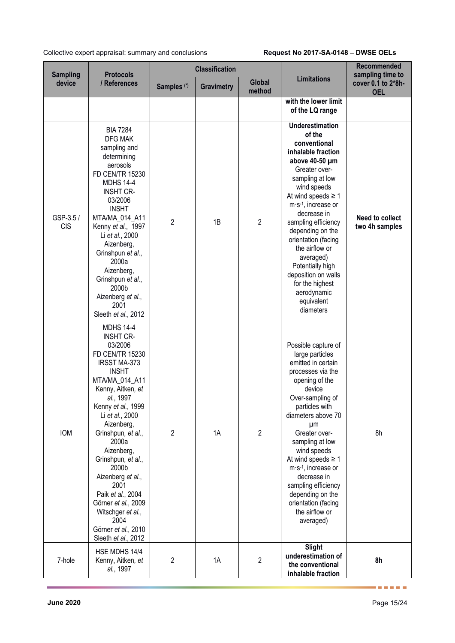| <b>Sampling</b>         | <b>Protocols</b>                                                                                                                                                                                                                                                                                                                                                                                                                              |                        | <b>Classification</b> |                         |                                                                                                                                                                                                                                                                                                                                                                                                                         | <b>Recommended</b><br>sampling time to   |  |
|-------------------------|-----------------------------------------------------------------------------------------------------------------------------------------------------------------------------------------------------------------------------------------------------------------------------------------------------------------------------------------------------------------------------------------------------------------------------------------------|------------------------|-----------------------|-------------------------|-------------------------------------------------------------------------------------------------------------------------------------------------------------------------------------------------------------------------------------------------------------------------------------------------------------------------------------------------------------------------------------------------------------------------|------------------------------------------|--|
| device                  | / References                                                                                                                                                                                                                                                                                                                                                                                                                                  | Samples <sup>(*)</sup> | <b>Gravimetry</b>     | <b>Global</b><br>method | <b>Limitations</b>                                                                                                                                                                                                                                                                                                                                                                                                      | cover 0.1 to 2*8h-<br><b>OEL</b>         |  |
|                         |                                                                                                                                                                                                                                                                                                                                                                                                                                               |                        |                       |                         | with the lower limit<br>of the LQ range                                                                                                                                                                                                                                                                                                                                                                                 |                                          |  |
| GSP-3.5 /<br><b>CIS</b> | <b>BIA 7284</b><br><b>DFG MAK</b><br>sampling and<br>determining<br>aerosols<br>FD CEN/TR 15230<br><b>MDHS 14-4</b><br><b>INSHT CR-</b><br>03/2006<br><b>INSHT</b><br>MTA/MA_014_A11<br>Kenny et al., 1997<br>Li et al., 2000<br>Aizenberg,<br>Grinshpun et al.,<br>2000a<br>Aizenberg,<br>Grinshpun et al.,<br>2000b<br>Aizenberg et al.,<br>2001<br>Sleeth et al., 2012                                                                     | $\overline{2}$         | 1B                    | $\overline{2}$          | <b>Underestimation</b><br>of the<br>conventional<br>inhalable fraction<br>above 40-50 µm<br>Greater over-<br>sampling at low<br>wind speeds<br>At wind speeds $\geq 1$<br>$m·s-1$ , increase or<br>decrease in<br>sampling efficiency<br>depending on the<br>orientation (facing<br>the airflow or<br>averaged)<br>Potentially high<br>deposition on walls<br>for the highest<br>aerodynamic<br>equivalent<br>diameters | <b>Need to collect</b><br>two 4h samples |  |
| <b>IOM</b>              | <b>MDHS 14-4</b><br><b>INSHT CR-</b><br>03/2006<br>FD CEN/TR 15230<br>IRSST MA-373<br><b>INSHT</b><br>MTA/MA 014 A11<br>Kenny, Aitken, et<br>al., 1997<br>Kenny et al., 1999<br>Li et al., 2000<br>Aizenberg,<br>Grinshpun, et al.,<br>2000a<br>Aizenberg,<br>Grinshpun, et al.,<br>2000b<br>Aizenberg et al.,<br>2001<br>Paik et al., 2004<br>Görner et al., 2009<br>Witschger et al.,<br>2004<br>Görner et al., 2010<br>Sleeth et al., 2012 | $\overline{c}$         | 1A                    | $\overline{2}$          | Possible capture of<br>large particles<br>emitted in certain<br>processes via the<br>opening of the<br>device<br>Over-sampling of<br>particles with<br>diameters above 70<br>μm<br>Greater over-<br>sampling at low<br>wind speeds<br>At wind speeds $\geq 1$<br>m·s <sup>-1</sup> , increase or<br>decrease in<br>sampling efficiency<br>depending on the<br>orientation (facing<br>the airflow or<br>averaged)        | 8h                                       |  |
| 7-hole                  | HSE MDHS 14/4<br>Kenny, Aitken, et<br>al., 1997                                                                                                                                                                                                                                                                                                                                                                                               | $\overline{2}$         | 1A                    | $\overline{2}$          | Slight<br>underestimation of<br>the conventional<br>inhalable fraction                                                                                                                                                                                                                                                                                                                                                  | 8h                                       |  |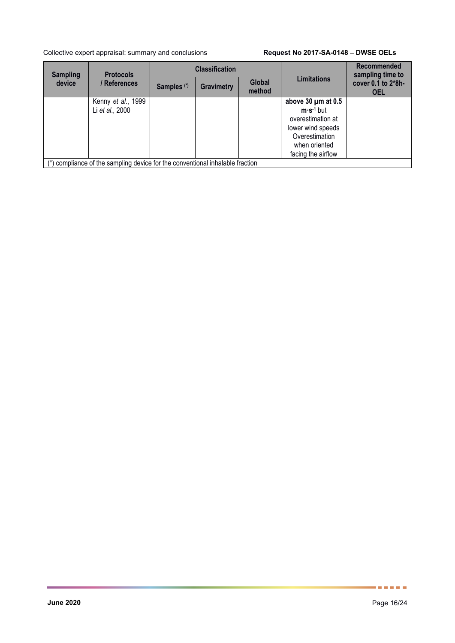| <b>Sampling</b> | <b>Protocols</b>                                                          |                        | <b>Classification</b> |                         |                                                                                                                                           | <b>Recommended</b><br>sampling time to |
|-----------------|---------------------------------------------------------------------------|------------------------|-----------------------|-------------------------|-------------------------------------------------------------------------------------------------------------------------------------------|----------------------------------------|
| device          | / References                                                              | Samples <sup>(*)</sup> | Gravimetry            | <b>Global</b><br>method | <b>Limitations</b>                                                                                                                        | cover 0.1 to 2*8h-<br><b>OEL</b>       |
|                 | Kenny et al., 1999<br>Li et al., 2000                                     |                        |                       |                         | above $30 \mu m$ at 0.5<br>$m·s·1$ but<br>overestimation at<br>lower wind speeds<br>Overestimation<br>when oriented<br>facing the airflow |                                        |
|                 | compliance of the sampling device for the conventional inhalable fraction |                        |                       |                         |                                                                                                                                           |                                        |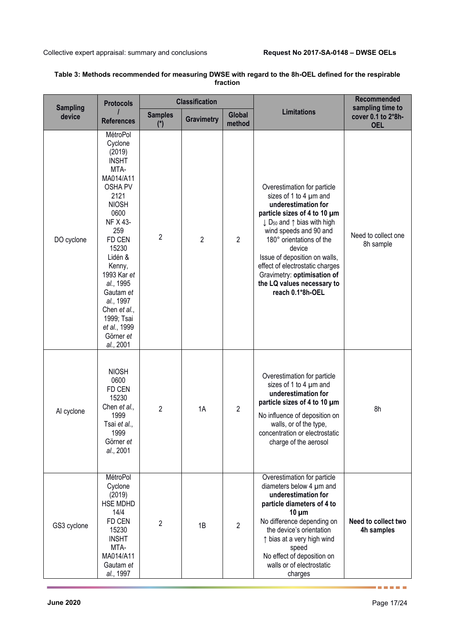| <b>Sampling</b> | <b>Protocols</b>                                                                                                                                                                                                                                                                                              |                         | <b>Classification</b> |                  |                                                                                                                                                                                                                                                                                                                                                                                                 | Recommended<br>sampling time to   |
|-----------------|---------------------------------------------------------------------------------------------------------------------------------------------------------------------------------------------------------------------------------------------------------------------------------------------------------------|-------------------------|-----------------------|------------------|-------------------------------------------------------------------------------------------------------------------------------------------------------------------------------------------------------------------------------------------------------------------------------------------------------------------------------------------------------------------------------------------------|-----------------------------------|
| device          | <b>References</b>                                                                                                                                                                                                                                                                                             | <b>Samples</b><br>$(*)$ | <b>Gravimetry</b>     | Global<br>method | <b>Limitations</b>                                                                                                                                                                                                                                                                                                                                                                              | cover 0.1 to 2*8h-<br><b>OEL</b>  |
| DO cyclone      | MétroPol<br>Cyclone<br>(2019)<br><b>INSHT</b><br>MTA-<br>MA014/A11<br><b>OSHA PV</b><br>2121<br><b>NIOSH</b><br>0600<br>NF X 43-<br>259<br>FD CEN<br>15230<br>Lidén &<br>Kenny,<br>1993 Kar et<br>al., 1995<br>Gautam et<br>al., 1997<br>Chen et al.,<br>1999; Tsai<br>et al., 1999<br>Görner et<br>al., 2001 | $\overline{c}$          | $\overline{2}$        | $\overline{2}$   | Overestimation for particle<br>sizes of 1 to 4 µm and<br>underestimation for<br>particle sizes of 4 to 10 µm<br>$\downarrow$ D <sub>50</sub> and $\uparrow$ bias with high<br>wind speeds and 90 and<br>180° orientations of the<br>device<br>Issue of deposition on walls,<br>effect of electrostatic charges<br>Gravimetry: optimisation of<br>the LQ values necessary to<br>reach 0.1*8h-OEL | Need to collect one<br>8h sample  |
| Al cyclone      | <b>NIOSH</b><br>0600<br>FD CEN<br>15230<br>Chen et al.,<br>1999<br>Tsai et al.,<br>1999<br>Görner et<br>al., 2001                                                                                                                                                                                             | $\overline{2}$          | 1A                    | $\overline{2}$   | Overestimation for particle<br>sizes of 1 to 4 µm and<br>underestimation for<br>particle sizes of 4 to 10 µm<br>No influence of deposition on<br>walls, or of the type,<br>concentration or electrostatic<br>charge of the aerosol                                                                                                                                                              | 8h                                |
| GS3 cyclone     | MétroPol<br>Cyclone<br>(2019)<br><b>HSE MDHD</b><br>14/4<br>FD CEN<br>15230<br><b>INSHT</b><br>MTA-<br>MA014/A11<br>Gautam et<br>al., 1997                                                                                                                                                                    | $\overline{2}$          | 1B                    | $\overline{2}$   | Overestimation for particle<br>diameters below 4 µm and<br>underestimation for<br>particle diameters of 4 to<br>$10 \mu m$<br>No difference depending on<br>the device's orientation<br>↑ bias at a very high wind<br>speed<br>No effect of deposition on<br>walls or of electrostatic<br>charges                                                                                               | Need to collect two<br>4h samples |

### **Table 3: Methods recommended for measuring DWSE with regard to the 8h-OEL defined for the respirable fraction**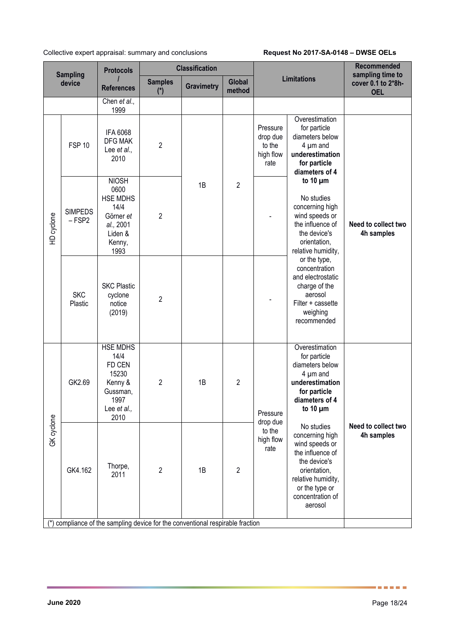|                            | <b>Protocols</b>                                                                                       |                | <b>Classification</b> |                  |                                                     |                                                                                                                                                                                                                                                                                                                        | Recommended<br>sampling time to     |
|----------------------------|--------------------------------------------------------------------------------------------------------|----------------|-----------------------|------------------|-----------------------------------------------------|------------------------------------------------------------------------------------------------------------------------------------------------------------------------------------------------------------------------------------------------------------------------------------------------------------------------|-------------------------------------|
| device                     | <b>References</b>                                                                                      | <b>Samples</b> | <b>Gravimetry</b>     | Global<br>method |                                                     |                                                                                                                                                                                                                                                                                                                        | cover 0.1 to 2*8h-<br><b>OEL</b>    |
|                            | Chen et al.,<br>1999                                                                                   |                |                       |                  |                                                     |                                                                                                                                                                                                                                                                                                                        |                                     |
| <b>FSP 10</b>              | IFA 6068<br><b>DFG MAK</b><br>Lee et al.,<br>2010                                                      | $\overline{2}$ |                       | $\overline{2}$   | Pressure<br>drop due<br>to the<br>high flow<br>rate | Overestimation<br>for particle<br>diameters below<br>$4 \mu m$ and<br>underestimation<br>for particle<br>diameters of 4                                                                                                                                                                                                | Need to collect two<br>4h samples   |
| <b>SIMPEDS</b><br>$-$ FSP2 | <b>NIOSH</b><br>0600<br><b>HSE MDHS</b><br>14/4<br>Görner et<br>al., 2001<br>Liden &<br>Kenny,<br>1993 | $\overline{2}$ | 1B                    |                  |                                                     | No studies<br>concerning high<br>wind speeds or<br>the influence of<br>the device's<br>orientation,<br>relative humidity,<br>or the type,<br>concentration<br>and electrostatic<br>charge of the<br>aerosol<br>Filter + cassette<br>weighing<br>recommended                                                            |                                     |
| <b>SKC</b><br>Plastic      | <b>SKC Plastic</b><br>cyclone<br>notice<br>(2019)                                                      | $\overline{2}$ |                       |                  |                                                     |                                                                                                                                                                                                                                                                                                                        |                                     |
| GK2.69                     | <b>HSE MDHS</b><br>14/4<br>FD CEN<br>15230<br>Kenny &<br>Gussman,<br>1997<br>Lee et al.,<br>2010       | $\overline{c}$ | 1B                    | $\overline{2}$   | Pressure<br>drop due<br>to the<br>high flow<br>rate | Overestimation<br>for particle<br>diameters below<br>$4 \mu m$ and<br>underestimation<br>for particle<br>diameters of 4<br>to 10 $\mu$ m<br>No studies<br>concerning high<br>wind speeds or<br>the influence of<br>the device's<br>orientation,<br>relative humidity,<br>or the type or<br>concentration of<br>aerosol |                                     |
| GK4.162                    | Thorpe,<br>2011                                                                                        | $\overline{c}$ | 1B                    | $\overline{2}$   |                                                     |                                                                                                                                                                                                                                                                                                                        | Need to collect two<br>4h samples   |
|                            | <b>Sampling</b>                                                                                        |                | $(*)$                 |                  |                                                     | compliance of the sampling device for the conventional respirable fraction                                                                                                                                                                                                                                             | <b>Limitations</b><br>to 10 $\mu$ m |

(\*) compliance of the sampling device for the conventional respirable fraction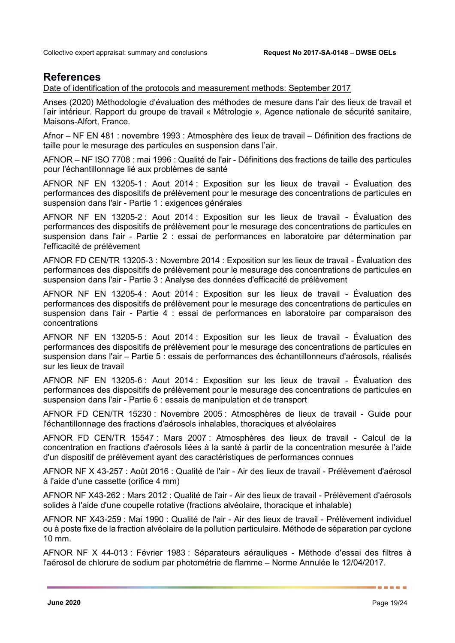## **References**

### Date of identification of the protocols and measurement methods: September 2017

Anses (2020) Méthodologie d'évaluation des méthodes de mesure dans l'air des lieux de travail et l'air intérieur. Rapport du groupe de travail « Métrologie ». Agence nationale de sécurité sanitaire, Maisons-Alfort, France.

Afnor – NF EN 481 : novembre 1993 : Atmosphère des lieux de travail – Définition des fractions de taille pour le mesurage des particules en suspension dans l'air.

AFNOR – NF ISO 7708 : mai 1996 : Qualité de l'air - Définitions des fractions de taille des particules pour l'échantillonnage lié aux problèmes de santé

AFNOR NF EN 13205-1 : Aout 2014 : Exposition sur les lieux de travail - Évaluation des performances des dispositifs de prélèvement pour le mesurage des concentrations de particules en suspension dans l'air - Partie 1 : exigences générales

AFNOR NF EN 13205-2 : Aout 2014 : Exposition sur les lieux de travail - Évaluation des performances des dispositifs de prélèvement pour le mesurage des concentrations de particules en suspension dans l'air - Partie 2 : essai de performances en laboratoire par détermination par l'efficacité de prélèvement

AFNOR FD CEN/TR 13205-3 : Novembre 2014 : Exposition sur les lieux de travail - Évaluation des performances des dispositifs de prélèvement pour le mesurage des concentrations de particules en suspension dans l'air - Partie 3 : Analyse des données d'efficacité de prélèvement

AFNOR NF EN 13205-4 : Aout 2014 : Exposition sur les lieux de travail - Évaluation des performances des dispositifs de prélèvement pour le mesurage des concentrations de particules en suspension dans l'air - Partie 4 : essai de performances en laboratoire par comparaison des concentrations

AFNOR NF EN 13205-5 : Aout 2014 : Exposition sur les lieux de travail - Évaluation des performances des dispositifs de prélèvement pour le mesurage des concentrations de particules en suspension dans l'air – Partie 5 : essais de performances des échantillonneurs d'aérosols, réalisés sur les lieux de travail

AFNOR NF EN 13205-6 : Aout 2014 : Exposition sur les lieux de travail - Évaluation des performances des dispositifs de prélèvement pour le mesurage des concentrations de particules en suspension dans l'air - Partie 6 : essais de manipulation et de transport

AFNOR FD CEN/TR 15230 : Novembre 2005 : Atmosphères de lieux de travail - Guide pour l'échantillonnage des fractions d'aérosols inhalables, thoraciques et alvéolaires

AFNOR FD CEN/TR 15547 : Mars 2007 : Atmosphères des lieux de travail - Calcul de la concentration en fractions d'aérosols liées à la santé à partir de la concentration mesurée à l'aide d'un dispositif de prélèvement ayant des caractéristiques de performances connues

AFNOR NF X 43-257 : Août 2016 : Qualité de l'air - Air des lieux de travail - Prélèvement d'aérosol à l'aide d'une cassette (orifice 4 mm)

AFNOR NF X43-262 : Mars 2012 : Qualité de l'air - Air des lieux de travail - Prélèvement d'aérosols solides à l'aide d'une coupelle rotative (fractions alvéolaire, thoracique et inhalable)

AFNOR NF X43-259 : Mai 1990 : Qualité de l'air - Air des lieux de travail - Prélèvement individuel ou à poste fixe de la fraction alvéolaire de la pollution particulaire. Méthode de séparation par cyclone 10 mm.

AFNOR NF X 44-013 : Février 1983 : Séparateurs aérauliques - Méthode d'essai des filtres à l'aérosol de chlorure de sodium par photométrie de flamme – Norme Annulée le 12/04/2017.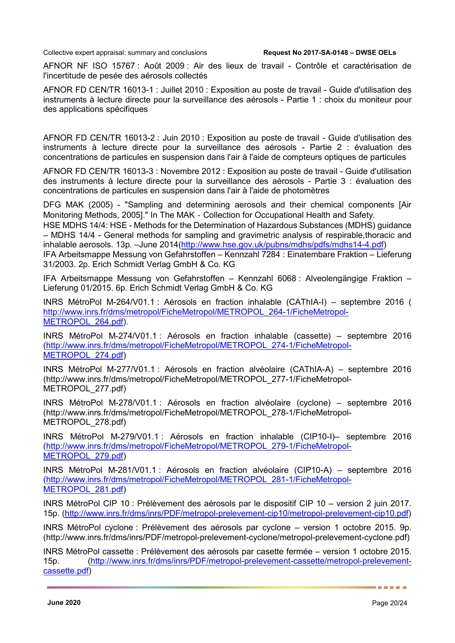AFNOR NF ISO 15767 : Août 2009 : Air des lieux de travail - Contrôle et caractérisation de l'incertitude de pesée des aérosols collectés

AFNOR FD CEN/TR 16013-1 : Juillet 2010 : Exposition au poste de travail - Guide d'utilisation des instruments à lecture directe pour la surveillance des aérosols - Partie 1 : choix du moniteur pour des applications spécifiques

AFNOR FD CEN/TR 16013-2 : Juin 2010 : Exposition au poste de travail - Guide d'utilisation des instruments à lecture directe pour la surveillance des aérosols - Partie 2 : évaluation des concentrations de particules en suspension dans l'air à l'aide de compteurs optiques de particules

AFNOR FD CEN/TR 16013-3 : Novembre 2012 : Exposition au poste de travail - Guide d'utilisation des instruments à lecture directe pour la surveillance des aérosols - Partie 3 : évaluation des concentrations de particules en suspension dans l'air à l'aide de photomètres

DFG MAK (2005) - "Sampling and determining aerosols and their chemical components [Air Monitoring Methods, 2005]." In The MAK‐Collection for Occupational Health and Safety.

HSE MDHS 14/4: HSE - Methods for the Determination of Hazardous Substances (MDHS) guidance – MDHS 14/4 - General methods for sampling and gravimetric analysis of respirable,thoracic and inhalable aerosols. 13p. - June 2014 [\(http://www.hse.gov.uk/pubns/mdhs/pdfs/mdhs14-4.pdf\)](http://www.hse.gov.uk/pubns/mdhs/pdfs/mdhs14-4.pdf)

IFA Arbeitsmappe Messung von Gefahrstoffen – Kennzahl 7284 : Einatembare Fraktion – Lieferung 31/2003. 2p. Erich Schmidt Verlag GmbH & Co. KG

IFA Arbeitsmappe Messung von Gefahrstoffen – Kennzahl 6068 : Alveolengängige Fraktion – Lieferung 01/2015. 6p. Erich Schmidt Verlag GmbH & Co. KG

INRS MétroPol M-264/V01.1 : Aérosols en fraction inhalable (CAThIA-I) – septembre 2016 ( [http://www.inrs.fr/dms/metropol/FicheMetropol/METROPOL\\_264-1/FicheMetropol-](http://www.inrs.fr/dms/metropol/FicheMetropol/METROPOL_264-1/FicheMetropol-METROPOL_264.pdf)[METROPOL\\_264.pdf\)](http://www.inrs.fr/dms/metropol/FicheMetropol/METROPOL_264-1/FicheMetropol-METROPOL_264.pdf).

INRS MétroPol M-274/V01.1 : Aérosols en fraction inhalable (cassette) – septembre 2016 [\(http://www.inrs.fr/dms/metropol/FicheMetropol/METROPOL\\_274-1/FicheMetropol-](http://www.inrs.fr/dms/metropol/FicheMetropol/METROPOL_274-1/FicheMetropol-METROPOL_274.pdf)METROPOL 274.pdf)

INRS MétroPol M-277/V01.1 : Aérosols en fraction alvéolaire (CAThIA-A) – septembre 2016 (http://www.inrs.fr/dms/metropol/FicheMetropol/METROPOL\_277-1/FicheMetropol-METROPOL\_277.pdf)

INRS MétroPol M-278/V01.1 : Aérosols en fraction alvéolaire (cyclone) – septembre 2016 (http://www.inrs.fr/dms/metropol/FicheMetropol/METROPOL\_278-1/FicheMetropol-METROPOL\_278.pdf)

INRS MétroPol M-279/V01.1 : Aérosols en fraction inhalable (CIP10-I)– septembre 2016 [\(http://www.inrs.fr/dms/metropol/FicheMetropol/METROPOL\\_279-1/FicheMetropol-](http://www.inrs.fr/dms/metropol/FicheMetropol/METROPOL_279-1/FicheMetropol-METROPOL_279.pdf)METROPOL 279.pdf)

INRS MétroPol M-281/V01.1 : Aérosols en fraction alvéolaire (CIP10-A) – septembre 2016 [\(http://www.inrs.fr/dms/metropol/FicheMetropol/METROPOL\\_281-1/FicheMetropol-](http://www.inrs.fr/dms/metropol/FicheMetropol/METROPOL_281-1/FicheMetropol-METROPOL_281.pdf)METROPOL 281.pdf)

INRS MétroPol CIP 10 : Prélèvement des aérosols par le dispositif CIP 10 – version 2 juin 2017. 15p. [\(http://www.inrs.fr/dms/inrs/PDF/metropol-prelevement-cip10/metropol-prelevement-cip10.pdf\)](http://www.inrs.fr/dms/inrs/PDF/metropol-prelevement-cip10/metropol-prelevement-cip10.pdf)

INRS MétroPol cyclone : Prélèvement des aérosols par cyclone – version 1 octobre 2015. 9p. (http://www.inrs.fr/dms/inrs/PDF/metropol-prelevement-cyclone/metropol-prelevement-cyclone.pdf)

INRS MétroPol cassette : Prélèvement des aérosols par casette fermée – version 1 octobre 2015. 15p. [\(http://www.inrs.fr/dms/inrs/PDF/metropol-prelevement-cassette/metropol-prelevement](http://www.inrs.fr/dms/inrs/PDF/metropol-prelevement-cassette/metropol-prelevement-cassette.pdf)[cassette.pdf\)](http://www.inrs.fr/dms/inrs/PDF/metropol-prelevement-cassette/metropol-prelevement-cassette.pdf)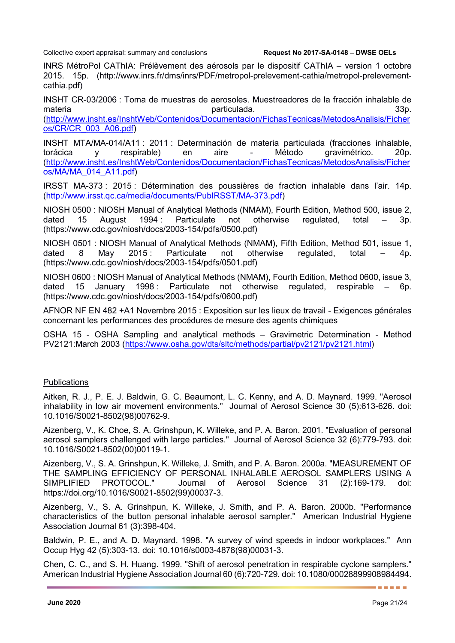INRS MétroPol CAThIA: Prélèvement des aérosols par le dispositif CAThIA – version 1 octobre 2015. 15p. (http://www.inrs.fr/dms/inrs/PDF/metropol-prelevement-cathia/metropol-prelevementcathia.pdf)

INSHT CR-03/2006 : Toma de muestras de aerosoles. Muestreadores de la fracción inhalable de materia particulada. 33p.

[\(http://www.insht.es/InshtWeb/Contenidos/Documentacion/FichasTecnicas/MetodosAnalisis/Ficher](http://www.insht.es/InshtWeb/Contenidos/Documentacion/FichasTecnicas/MetodosAnalisis/Ficheros/CR/CR_003_A06.pdf) [os/CR/CR\\_003\\_A06.pdf\)](http://www.insht.es/InshtWeb/Contenidos/Documentacion/FichasTecnicas/MetodosAnalisis/Ficheros/CR/CR_003_A06.pdf)

INSHT MTA/MA-014/A11 : 2011 : Determinación de materia particulada (fracciones inhalable, torácica y respirable) en aire - Método gravimétrico. 20p. [\(http://www.insht.es/InshtWeb/Contenidos/Documentacion/FichasTecnicas/MetodosAnalisis/Ficher](http://www.insht.es/InshtWeb/Contenidos/Documentacion/FichasTecnicas/MetodosAnalisis/Ficheros/MA/MA_014_A11.pdf) [os/MA/MA\\_014\\_A11.pdf\)](http://www.insht.es/InshtWeb/Contenidos/Documentacion/FichasTecnicas/MetodosAnalisis/Ficheros/MA/MA_014_A11.pdf)

IRSST MA-373 : 2015 : Détermination des poussières de fraction inhalable dans l'air. 14p. [\(http://www.irsst.qc.ca/media/documents/PubIRSST/MA-373.pdf\)](http://www.irsst.qc.ca/media/documents/PubIRSST/MA-373.pdf)

NIOSH 0500 : NIOSH Manual of Analytical Methods (NMAM), Fourth Edition, Method 500, issue 2, dated 15 August 1994 : Particulate not otherwise regulated, total – 3p. (https://www.cdc.gov/niosh/docs/2003-154/pdfs/0500.pdf)

NIOSH 0501 : NIOSH Manual of Analytical Methods (NMAM), Fifth Edition, Method 501, issue 1, dated 8 May 2015: Particulate not otherwise regulated, total – 4p. (https://www.cdc.gov/niosh/docs/2003-154/pdfs/0501.pdf)

NIOSH 0600 : NIOSH Manual of Analytical Methods (NMAM), Fourth Edition, Method 0600, issue 3, dated 15 January 1998 : Particulate not otherwise regulated, respirable – 6p. (https://www.cdc.gov/niosh/docs/2003-154/pdfs/0600.pdf)

AFNOR NF EN 482 +A1 Novembre 2015 : Exposition sur les lieux de travail - Exigences générales concernant les performances des procédures de mesure des agents chimiques

OSHA 15 - OSHA Sampling and analytical methods – Gravimetric Determination - Method PV2121:March 2003 [\(https://www.osha.gov/dts/sltc/methods/partial/pv2121/pv2121.html\)](https://www.osha.gov/dts/sltc/methods/partial/pv2121/pv2121.html)

### **Publications**

Aitken, R. J., P. E. J. Baldwin, G. C. Beaumont, L. C. Kenny, and A. D. Maynard. 1999. "Aerosol inhalability in low air movement environments." Journal of Aerosol Science 30 (5):613-626. doi: 10.1016/S0021-8502(98)00762-9.

Aizenberg, V., K. Choe, S. A. Grinshpun, K. Willeke, and P. A. Baron. 2001. "Evaluation of personal aerosol samplers challenged with large particles." Journal of Aerosol Science 32 (6):779-793. doi: 10.1016/S0021-8502(00)00119-1.

Aizenberg, V., S. A. Grinshpun, K. Willeke, J. Smith, and P. A. Baron. 2000a. "MEASUREMENT OF THE SAMPLING EFFICIENCY OF PERSONAL INHALABLE AEROSOL SAMPLERS USING A SIMPLIFIED PROTOCOL." Journal of Aerosol Science 31 (2):169-179. doi: https://doi.org/10.1016/S0021-8502(99)00037-3.

Aizenberg, V., S. A. Grinshpun, K. Willeke, J. Smith, and P. A. Baron. 2000b. "Performance characteristics of the button personal inhalable aerosol sampler." American Industrial Hygiene Association Journal 61 (3):398-404.

Baldwin, P. E., and A. D. Maynard. 1998. "A survey of wind speeds in indoor workplaces." Ann Occup Hyg 42 (5):303-13. doi: 10.1016/s0003-4878(98)00031-3.

Chen, C. C., and S. H. Huang. 1999. "Shift of aerosol penetration in respirable cyclone samplers." American Industrial Hygiene Association Journal 60 (6):720-729. doi: 10.1080/00028899908984494.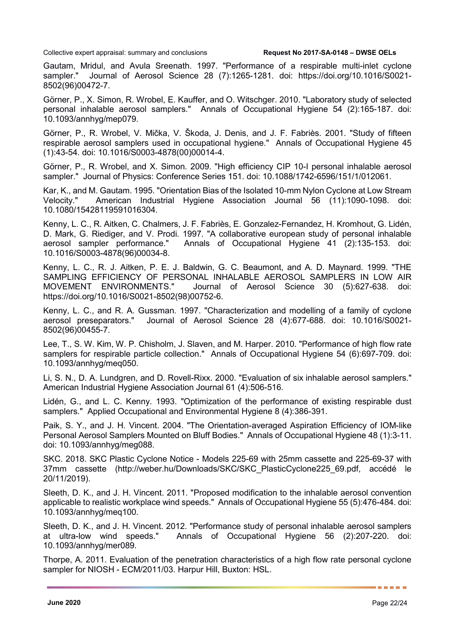Gautam, Mridul, and Avula Sreenath. 1997. "Performance of a respirable multi-inlet cyclone sampler." Journal of Aerosol Science 28 (7):1265-1281. doi: https://doi.org/10.1016/S0021- 8502(96)00472-7.

Görner, P., X. Simon, R. Wrobel, E. Kauffer, and O. Witschger. 2010. "Laboratory study of selected personal inhalable aerosol samplers." Annals of Occupational Hygiene 54 (2):165-187. doi: 10.1093/annhyg/mep079.

Görner, P., R. Wrobel, V. Mička, V. Škoda, J. Denis, and J. F. Fabriès. 2001. "Study of fifteen respirable aerosol samplers used in occupational hygiene." Annals of Occupational Hygiene 45 (1):43-54. doi: 10.1016/S0003-4878(00)00014-4.

Görner, P., R. Wrobel, and X. Simon. 2009. "High efficiency CIP 10-I personal inhalable aerosol sampler." Journal of Physics: Conference Series 151. doi: 10.1088/1742-6596/151/1/012061.

Kar, K., and M. Gautam. 1995. "Orientation Bias of the Isolated 10-mm Nylon Cyclone at Low Stream Velocity." American Industrial Hygiene Association Journal 56 (11):1090-1098. doi: 10.1080/15428119591016304.

Kenny, L. C., R. Aitken, C. Chalmers, J. F. Fabriès, E. Gonzalez-Fernandez, H. Kromhout, G. Lidén, D. Mark, G. Riediger, and V. Prodi. 1997. "A collaborative european study of personal inhalable aerosol sampler performance." Annals of Occupational Hygiene 41 (2):135-153. doi: Annals of Occupational Hygiene 41 (2):135-153. doi: 10.1016/S0003-4878(96)00034-8.

Kenny, L. C., R. J. Aitken, P. E. J. Baldwin, G. C. Beaumont, and A. D. Maynard. 1999. "THE SAMPLING EFFICIENCY OF PERSONAL INHALABLE AEROSOL SAMPLERS IN LOW AIR MOVEMENT ENVIRONMENTS." Journal of Aerosol Science 30 (5):627-638. doi: https://doi.org/10.1016/S0021-8502(98)00752-6.

Kenny, L. C., and R. A. Gussman. 1997. "Characterization and modelling of a family of cyclone aerosol preseparators." Journal of Aerosol Science 28 (4):677-688. doi: 10.1016/S0021- 8502(96)00455-7.

Lee, T., S. W. Kim, W. P. Chisholm, J. Slaven, and M. Harper. 2010. "Performance of high flow rate samplers for respirable particle collection." Annals of Occupational Hygiene 54 (6):697-709. doi: 10.1093/annhyg/meq050.

Li, S. N., D. A. Lundgren, and D. Rovell-Rixx. 2000. "Evaluation of six inhalable aerosol samplers." American Industrial Hygiene Association Journal 61 (4):506-516.

Lidén, G., and L. C. Kenny. 1993. "Optimization of the performance of existing respirable dust samplers." Applied Occupational and Environmental Hygiene 8 (4):386-391.

Paik, S. Y., and J. H. Vincent. 2004. "The Orientation-averaged Aspiration Efficiency of IOM-like Personal Aerosol Samplers Mounted on Bluff Bodies." Annals of Occupational Hygiene 48 (1):3-11. doi: 10.1093/annhyg/meg088.

SKC. 2018. SKC Plastic Cyclone Notice - Models 225-69 with 25mm cassette and 225-69-37 with 37mm cassette (http://weber.hu/Downloads/SKC/SKC\_PlasticCyclone225\_69.pdf, accédé le 20/11/2019).

Sleeth, D. K., and J. H. Vincent. 2011. "Proposed modification to the inhalable aerosol convention applicable to realistic workplace wind speeds." Annals of Occupational Hygiene 55 (5):476-484. doi: 10.1093/annhyg/meq100.

Sleeth, D. K., and J. H. Vincent. 2012. "Performance study of personal inhalable aerosol samplers at ultra-low wind speeds." Annals of Occupational Hygiene 56 (2):207-220. doi: 10.1093/annhyg/mer089.

Thorpe, A. 2011. Evaluation of the penetration characteristics of a high flow rate personal cyclone sampler for NIOSH - ECM/2011/03. Harpur Hill, Buxton: HSL.